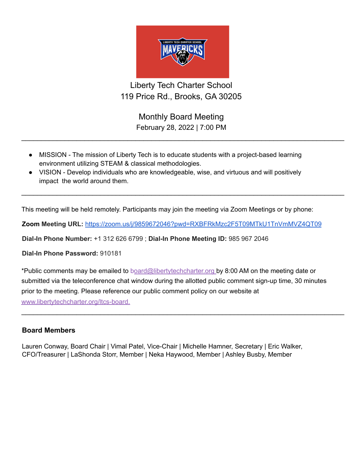

Liberty Tech Charter School 119 Price Rd., Brooks, GA 30205

> Monthly Board Meeting February 28, 2022 | 7:00 PM

 $\_$ 

 $\_$ 

- MISSION The mission of Liberty Tech is to educate students with a project-based learning environment utilizing STEAM & classical methodologies.
- VISION Develop individuals who are knowledgeable, wise, and virtuous and will positively impact the world around them.

This meeting will be held remotely. Participants may join the meeting via Zoom Meetings or by phone:

**Zoom Meeting URL:** <https://zoom.us/j/9859672046?pwd=RXBFRkMzc2F5T09MTkU1TnVmMVZ4QT09>

**Dial-In Phone Number:** +1 312 626 6799 ; **Dial-In Phone Meeting ID:** 985 967 2046

**Dial-In Phone Password:** 910181

\*Public comments may be emailed to board@libertytechcharter.org by 8:00 AM on the meeting date or submitted via the teleconference chat window during the allotted public comment sign-up time, 30 minutes prior to the meeting. Please reference our public comment policy on our website at www.libertytechcharter.org/ltcs-board.

 $\_$ 

## **Board Members**

Lauren Conway, Board Chair | Vimal Patel, Vice-Chair | Michelle Hamner, Secretary | Eric Walker, CFO/Treasurer | LaShonda Storr, Member | Neka Haywood, Member | Ashley Busby, Member